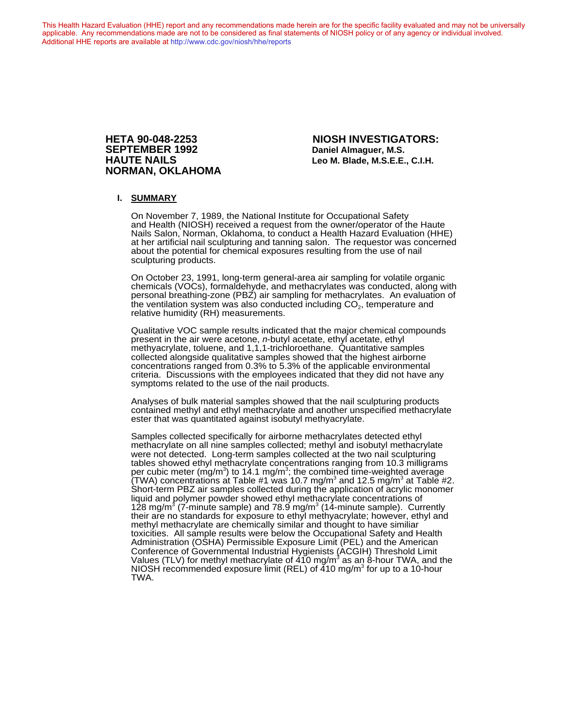This Health Hazard Evaluation (HHE) report and any recommendations made herein are for the specific facility evaluated and may not be universally applicable. Any recommendations made are not to be considered as final statements of NIOSH policy or of any agency or individual involved. Additional HHE reports are available at <http://www.cdc.gov/niosh/hhe/reports> Additional HHE reports are available at <http://www.cdc.gov/niosh/hhe/reports>

# **NORMAN, OKLAHOMA**

**HETA 90-048-2253 NIOSH INVESTIGATORS: Daniel Almaguer, M.S. HAUTE NAILS Leo M. Blade, M.S.E.E., C.I.H.**

#### **I. SUMMARY**

On November 7, 1989, the National Institute for Occupational Safety and Health (NIOSH) received a request from the owner/operator of the Haute Nails Salon, Norman, Oklahoma, to conduct a Health Hazard Evaluation (HHE) at her artificial nail sculpturing and tanning salon. The requestor was concerned about the potential for chemical exposures resulting from the use of nail sculpturing products.

On October 23, 1991, long-term general-area air sampling for volatile organic chemicals (VOCs), formaldehyde, and methacrylates was conducted, along with personal breathing-zone (PBZ) air sampling for methacrylates. An evaluation of the ventilation system was also conducted including  $CO<sub>2</sub>$ , temperature and relative humidity (RH) measurements.

Qualitative VOC sample results indicated that the major chemical compounds present in the air were acetone, *n*-butyl acetate, ethyl acetate, ethyl methyacrylate, toluene, and 1,1,1-trichloroethane. Quantitative samples collected alongside qualitative samples showed that the highest airborne concentrations ranged from 0.3% to 5.3% of the applicable environmental criteria. Discussions with the employees indicated that they did not have any symptoms related to the use of the nail products.

Analyses of bulk material samples showed that the nail sculpturing products contained methyl and ethyl methacrylate and another unspecified methacrylate ester that was quantitated against isobutyl methyacrylate.

Samples collected specifically for airborne methacrylates detected ethyl methacrylate on all nine samples collected; methyl and isobutyl methacrylate were not detected. Long-term samples collected at the two nail sculpturing tables showed ethyl methacrylate concentrations ranging from 10.3 milligrams per cubic meter (mg/m $^3$ ) to 14.1 mg/m $^3$ ; the combined time-weighted average (TWA) concentrations at Table #1 was 10.7 mg/m $^3$  and 12.5 mg/m $^3$  at Table #2. Short-term PBZ air samples collected during the application of acrylic monomer liquid and polymer powder showed ethyl methacrylate concentrations of 128 mg/m<sup>3</sup> (7-minute sample) and 78.9 mg/m<sup>3</sup> (14-minute sample). Currently their are no standards for exposure to ethyl methyacrylate; however, ethyl and methyl methacrylate are chemically similar and thought to have similiar toxicities. All sample results were below the Occupational Safety and Health Administration (OSHA) Permissible Exposure Limit (PEL) and the American Conference of Governmental Industrial Hygienists (ACGIH) Threshold Limit Values (TLV) for methyl methacrylate of  $410$  mg/m $^3$  as an  $8$ -hour TWA, and the NIOSH recommended exposure limit (REL) of 410 mg/m $^3$  for up to a 10-hour TWA.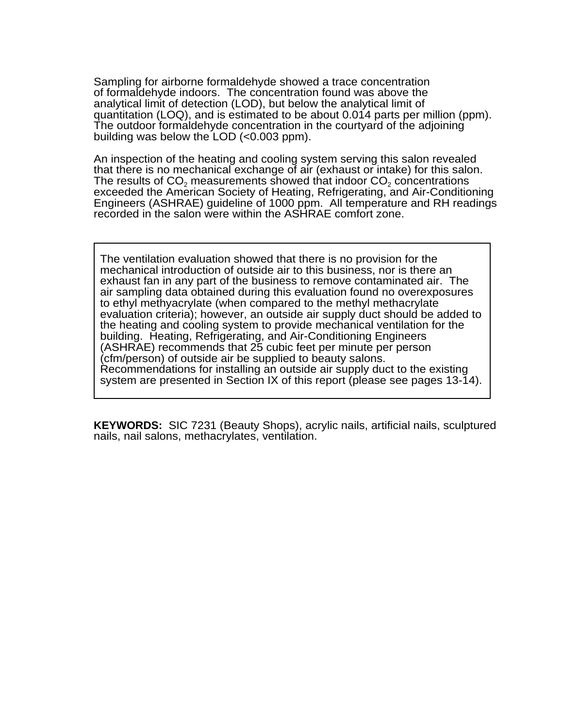Sampling for airborne formaldehyde showed a trace concentration of formaldehyde indoors. The concentration found was above the analytical limit of detection (LOD), but below the analytical limit of quantitation (LOQ), and is estimated to be about 0.014 parts per million (ppm). The outdoor formaldehyde concentration in the courtyard of the adjoining building was below the LOD (<0.003 ppm).

An inspection of the heating and cooling system serving this salon revealed that there is no mechanical exchange of air (exhaust or intake) for this salon. The results of  $CO<sub>2</sub>$  measurements showed that indoor  $CO<sub>2</sub>$  concentrations exceeded the American Society of Heating, Refrigerating, and Air-Conditioning Engineers (ASHRAE) guideline of 1000 ppm. All temperature and RH readings recorded in the salon were within the ASHRAE comfort zone.

The ventilation evaluation showed that there is no provision for the mechanical introduction of outside air to this business, nor is there an exhaust fan in any part of the business to remove contaminated air. The air sampling data obtained during this evaluation found no overexposures to ethyl methyacrylate (when compared to the methyl methacrylate evaluation criteria); however, an outside air supply duct should be added to the heating and cooling system to provide mechanical ventilation for the building. Heating, Refrigerating, and Air-Conditioning Engineers (ASHRAE) recommends that 25 cubic feet per minute per person (cfm/person) of outside air be supplied to beauty salons. Recommendations for installing an outside air supply duct to the existing system are presented in Section IX of this report (please see pages 13-14).

**KEYWORDS:** SIC 7231 (Beauty Shops), acrylic nails, artificial nails, sculptured nails, nail salons, methacrylates, ventilation.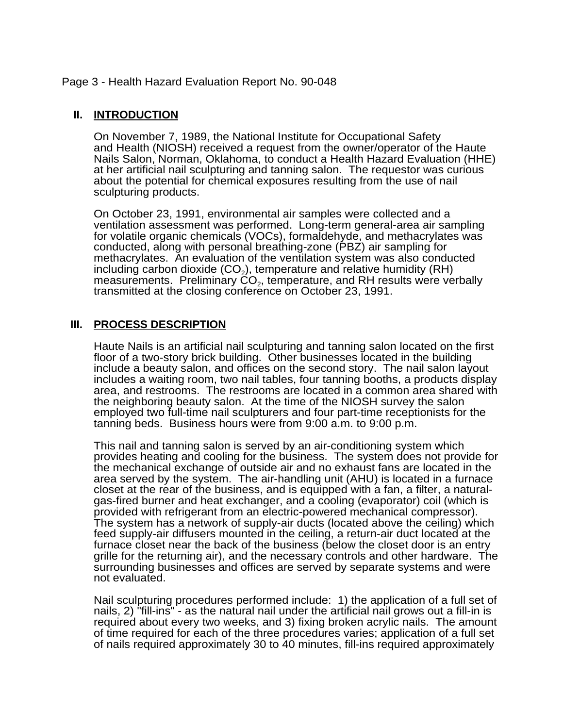## Page 3 - Health Hazard Evaluation Report No. 90-048

## **II. INTRODUCTION**

On November 7, 1989, the National Institute for Occupational Safety and Health (NIOSH) received a request from the owner/operator of the Haute Nails Salon, Norman, Oklahoma, to conduct a Health Hazard Evaluation (HHE) at her artificial nail sculpturing and tanning salon. The requestor was curious about the potential for chemical exposures resulting from the use of nail sculpturing products.

On October 23, 1991, environmental air samples were collected and a ventilation assessment was performed. Long-term general-area air sampling for volatile organic chemicals (VOCs), formaldehyde, and methacrylates was conducted, along with personal breathing-zone (PBZ) air sampling for methacrylates. An evaluation of the ventilation system was also conducted including carbon dioxide (CO<sub>2</sub>), temperature and relative humidity (RH) measurements. Preliminary  $\mathsf{CO}_{2}$ , temperature, and RH results were verbally transmitted at the closing conference on October 23, 1991.

## **III. PROCESS DESCRIPTION**

Haute Nails is an artificial nail sculpturing and tanning salon located on the first floor of a two-story brick building. Other businesses located in the building include a beauty salon, and offices on the second story. The nail salon layout includes a waiting room, two nail tables, four tanning booths, a products display area, and restrooms. The restrooms are located in a common area shared with the neighboring beauty salon. At the time of the NIOSH survey the salon employed two full-time nail sculpturers and four part-time receptionists for the tanning beds. Business hours were from 9:00 a.m. to 9:00 p.m.

This nail and tanning salon is served by an air-conditioning system which provides heating and cooling for the business. The system does not provide for the mechanical exchange of outside air and no exhaust fans are located in the area served by the system. The air-handling unit (AHU) is located in a furnace closet at the rear of the business, and is equipped with a fan, a filter, a naturalgas-fired burner and heat exchanger, and a cooling (evaporator) coil (which is provided with refrigerant from an electric-powered mechanical compressor). The system has a network of supply-air ducts (located above the ceiling) which feed supply-air diffusers mounted in the ceiling, a return-air duct located at the furnace closet near the back of the business (below the closet door is an entry grille for the returning air), and the necessary controls and other hardware. The surrounding businesses and offices are served by separate systems and were not evaluated.

Nail sculpturing procedures performed include: 1) the application of a full set of nails, 2) "fill-ins" - as the natural nail under the artificial nail grows out a fill-in is required about every two weeks, and 3) fixing broken acrylic nails. The amount of time required for each of the three procedures varies; application of a full set of nails required approximately 30 to 40 minutes, fill-ins required approximately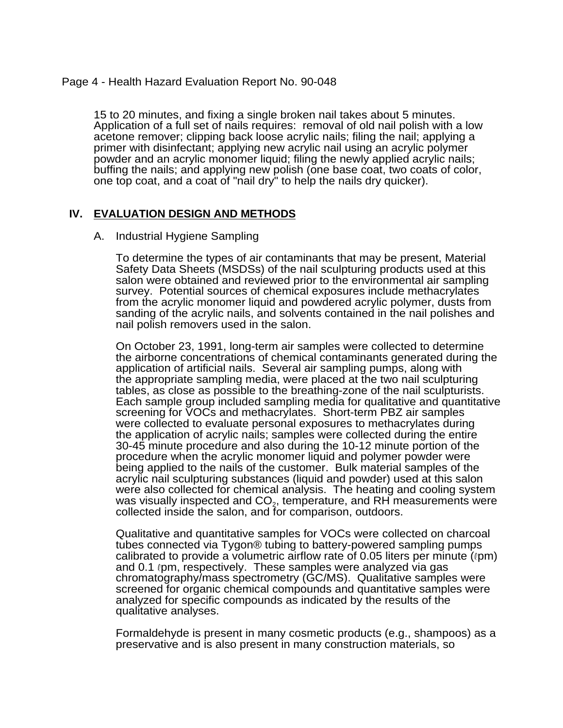## Page 4 - Health Hazard Evaluation Report No. 90-048

15 to 20 minutes, and fixing a single broken nail takes about 5 minutes. Application of a full set of nails requires: removal of old nail polish with a low acetone remover; clipping back loose acrylic nails; filing the nail; applying a primer with disinfectant; applying new acrylic nail using an acrylic polymer powder and an acrylic monomer liquid; filing the newly applied acrylic nails; buffing the nails; and applying new polish (one base coat, two coats of color, one top coat, and a coat of "nail dry" to help the nails dry quicker).

## **IV. EVALUATION DESIGN AND METHODS**

#### A. Industrial Hygiene Sampling

To determine the types of air contaminants that may be present, Material Safety Data Sheets (MSDSs) of the nail sculpturing products used at this salon were obtained and reviewed prior to the environmental air sampling survey. Potential sources of chemical exposures include methacrylates from the acrylic monomer liquid and powdered acrylic polymer, dusts from sanding of the acrylic nails, and solvents contained in the nail polishes and nail polish removers used in the salon.

On October 23, 1991, long-term air samples were collected to determine the airborne concentrations of chemical contaminants generated during the application of artificial nails. Several air sampling pumps, along with the appropriate sampling media, were placed at the two nail sculpturing tables, as close as possible to the breathing-zone of the nail sculpturists. Each sample group included sampling media for qualitative and quantitative screening for VOCs and methacrylates. Short-term PBZ air samples were collected to evaluate personal exposures to methacrylates during the application of acrylic nails; samples were collected during the entire 30-45 minute procedure and also during the 10-12 minute portion of the procedure when the acrylic monomer liquid and polymer powder were being applied to the nails of the customer. Bulk material samples of the acrylic nail sculpturing substances (liquid and powder) used at this salon were also collected for chemical analysis. The heating and cooling system was visually inspected and  $CO<sub>2</sub>$ , temperature, and RH measurements were collected inside the salon, and for comparison, outdoors.

Qualitative and quantitative samples for VOCs were collected on charcoal tubes connected via Tygon® tubing to battery-powered sampling pumps calibrated to provide a volumetric airflow rate of 0.05 liters per minute  $(\ell \text{pm})$ and  $0.1$  (pm, respectively. These samples were analyzed via gas chromatography/mass spectrometry (GC/MS). Qualitative samples were screened for organic chemical compounds and quantitative samples were analyzed for specific compounds as indicated by the results of the qualitative analyses.

Formaldehyde is present in many cosmetic products (e.g., shampoos) as a preservative and is also present in many construction materials, so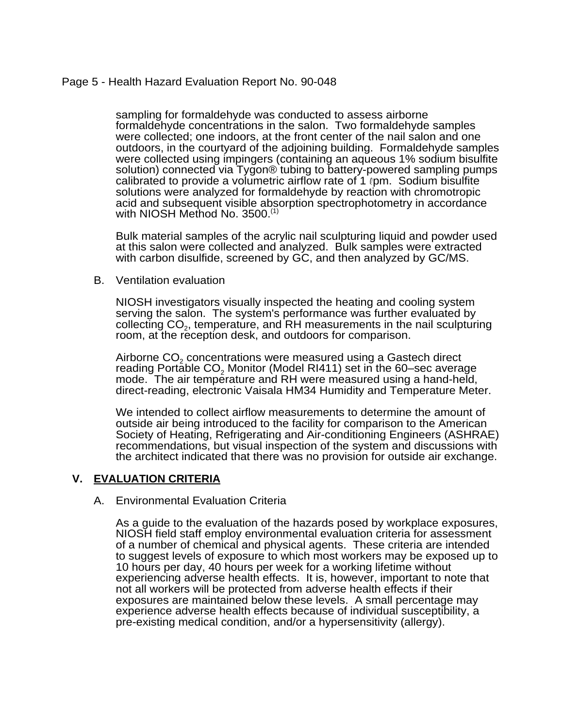## Page 5 - Health Hazard Evaluation Report No. 90-048

sampling for formaldehyde was conducted to assess airborne formaldehyde concentrations in the salon. Two formaldehyde samples were collected; one indoors, at the front center of the nail salon and one outdoors, in the courtyard of the adjoining building. Formaldehyde samples were collected using impingers (containing an aqueous 1% sodium bisulfite solution) connected via Tygon® tubing to battery-powered sampling pumps calibrated to provide a volumetric airflow rate of 1 (pm. Sodium bisulfite solutions were analyzed for formaldehyde by reaction with chromotropic acid and subsequent visible absorption spectrophotometry in accordance with NIOSH Method No. 3500.<sup>(1)</sup>

Bulk material samples of the acrylic nail sculpturing liquid and powder used at this salon were collected and analyzed. Bulk samples were extracted with carbon disulfide, screened by GC, and then analyzed by GC/MS.

B. Ventilation evaluation

NIOSH investigators visually inspected the heating and cooling system serving the salon. The system's performance was further evaluated by collecting CO2, temperature, and RH measurements in the nail sculpturing room, at the reception desk, and outdoors for comparison.

Airborne CO<sub>2</sub> concentrations were measured using a Gastech direct reading Portable  $CO<sub>2</sub>$  Monitor (Model RI411) set in the 60–sec average mode. The air temperature and RH were measured using a hand-held, direct-reading, electronic Vaisala HM34 Humidity and Temperature Meter.

We intended to collect airflow measurements to determine the amount of outside air being introduced to the facility for comparison to the American Society of Heating, Refrigerating and Air-conditioning Engineers (ASHRAE) recommendations, but visual inspection of the system and discussions with the architect indicated that there was no provision for outside air exchange.

## **V. EVALUATION CRITERIA**

## A. Environmental Evaluation Criteria

As a guide to the evaluation of the hazards posed by workplace exposures, NIOSH field staff employ environmental evaluation criteria for assessment of a number of chemical and physical agents. These criteria are intended to suggest levels of exposure to which most workers may be exposed up to 10 hours per day, 40 hours per week for a working lifetime without experiencing adverse health effects. It is, however, important to note that not all workers will be protected from adverse health effects if their exposures are maintained below these levels. A small percentage may experience adverse health effects because of individual susceptibility, a pre-existing medical condition, and/or a hypersensitivity (allergy).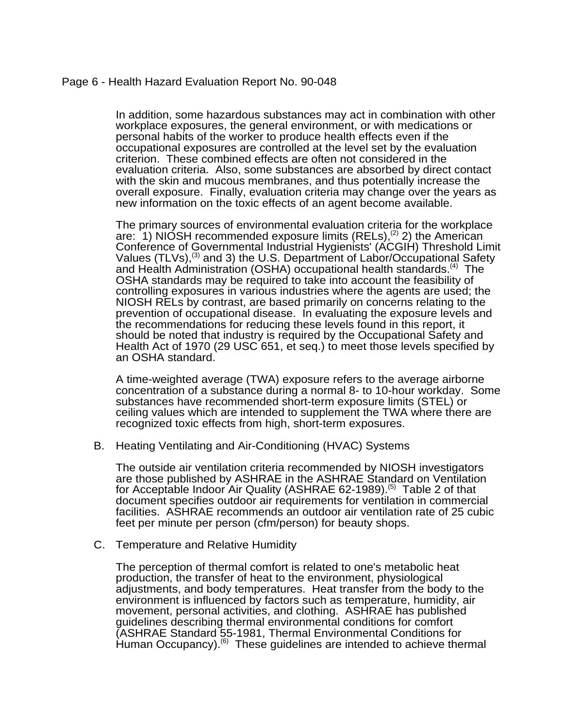## Page 6 - Health Hazard Evaluation Report No. 90-048

In addition, some hazardous substances may act in combination with other workplace exposures, the general environment, or with medications or personal habits of the worker to produce health effects even if the occupational exposures are controlled at the level set by the evaluation criterion. These combined effects are often not considered in the evaluation criteria. Also, some substances are absorbed by direct contact with the skin and mucous membranes, and thus potentially increase the overall exposure. Finally, evaluation criteria may change over the years as new information on the toxic effects of an agent become available.

The primary sources of environmental evaluation criteria for the workplace are: 1) NIOSH recommended exposure limits (RELs),<sup>(2)</sup> 2) the American Conference of Governmental Industrial Hygienists' (ACGIH) Threshold Limit Values (TLVs),<sup>(3)</sup> and 3) the U.S. Department of Labor/Occupational Safety and Health Administration (OSHA) occupational health standards.<sup>(4)</sup> The OSHA standards may be required to take into account the feasibility of controlling exposures in various industries where the agents are used; the NIOSH RELs by contrast, are based primarily on concerns relating to the prevention of occupational disease. In evaluating the exposure levels and the recommendations for reducing these levels found in this report, it should be noted that industry is required by the Occupational Safety and Health Act of 1970 (29 USC 651, et seq.) to meet those levels specified by an OSHA standard.

A time-weighted average (TWA) exposure refers to the average airborne concentration of a substance during a normal 8- to 10-hour workday. Some substances have recommended short-term exposure limits (STEL) or ceiling values which are intended to supplement the TWA where there are recognized toxic effects from high, short-term exposures.

B. Heating Ventilating and Air-Conditioning (HVAC) Systems

The outside air ventilation criteria recommended by NIOSH investigators are those published by ASHRAE in the ASHRAE Standard on Ventilation for Acceptable Indoor Air Quality (ASHRAE 62-1989).<sup>(5)</sup> Table 2 of that document specifies outdoor air requirements for ventilation in commercial facilities. ASHRAE recommends an outdoor air ventilation rate of 25 cubic feet per minute per person (cfm/person) for beauty shops.

C. Temperature and Relative Humidity

The perception of thermal comfort is related to one's metabolic heat production, the transfer of heat to the environment, physiological adjustments, and body temperatures. Heat transfer from the body to the environment is influenced by factors such as temperature, humidity, air movement, personal activities, and clothing. ASHRAE has published guidelines describing thermal environmental conditions for comfort (ASHRAE Standard 55-1981, Thermal Environmental Conditions for Human Occupancy).<sup>(6)</sup> These guidelines are intended to achieve thermal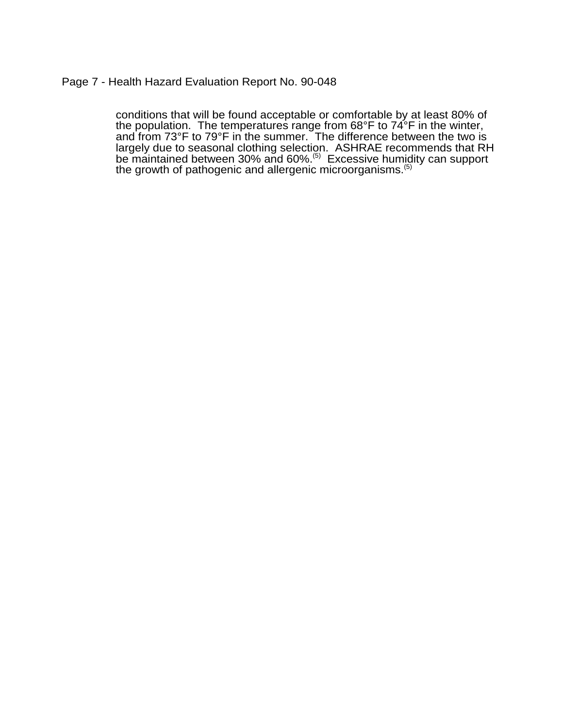## Page 7 - Health Hazard Evaluation Report No. 90-048

conditions that will be found acceptable or comfortable by at least 80% of the population. The temperatures range from 68°F to 74°F in the winter, and from 73°F to 79°F in the summer. The difference between the two is largely due to seasonal clothing selection. ASHRAE recommends that RH be maintained between 30% and 60%.<sup>(5)</sup> Excessive humidity can support the growth of pathogenic and allergenic microorganisms.<sup>(5)</sup>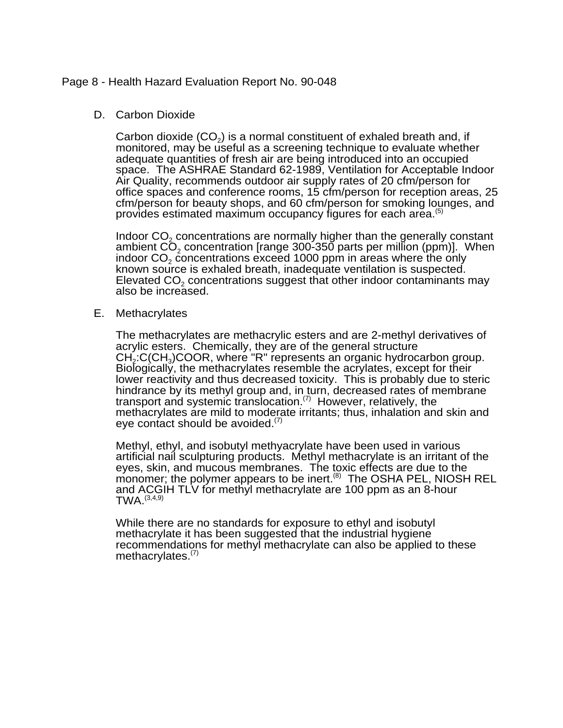### Page 8 - Health Hazard Evaluation Report No. 90-048

#### D. Carbon Dioxide

Carbon dioxide  $(CO<sub>2</sub>)$  is a normal constituent of exhaled breath and, if monitored, may be useful as a screening technique to evaluate whether adequate quantities of fresh air are being introduced into an occupied space. The ASHRAE Standard 62-1989, Ventilation for Acceptable Indoor Air Quality, recommends outdoor air supply rates of 20 cfm/person for office spaces and conference rooms, 15 cfm/person for reception areas, 25 cfm/person for beauty shops, and 60 cfm/person for smoking lounges, and provides estimated maximum occupancy figures for each area.<sup>(5)</sup>

Indoor CO<sub>2</sub> concentrations are normally higher than the generally constant ambient  $CO<sub>2</sub>$  concentration [range 300-350 parts per million (ppm)]. When indoor  $CO<sub>2</sub>$  concentrations exceed 1000 ppm in areas where the only known source is exhaled breath, inadequate ventilation is suspected. Elevated CO2 concentrations suggest that other indoor contaminants may also be increased.

#### E. Methacrylates

The methacrylates are methacrylic esters and are 2-methyl derivatives of acrylic esters. Chemically, they are of the general structure  $CH<sub>2</sub>:C(CH<sub>3</sub>)COOR$ , where "R" represents an organic hydrocarbon group. Biologically, the methacrylates resemble the acrylates, except for their lower reactivity and thus decreased toxicity. This is probably due to steric hindrance by its methyl group and, in turn, decreased rates of membrane transport and systemic translocation.<sup> $(7)$ </sup> However, relatively, the methacrylates are mild to moderate irritants; thus, inhalation and skin and eye contact should be avoided. $(7)$ 

Methyl, ethyl, and isobutyl methyacrylate have been used in various artificial nail sculpturing products. Methyl methacrylate is an irritant of the eyes, skin, and mucous membranes. The toxic effects are due to the monomer; the polymer appears to be inert.<sup>(8)</sup> The OSHA PEL, NIOSH REL and ACGIH TLV for methyl methacrylate are 100 ppm as an 8-hour  $TWA.$   $(3,4,9)$ 

While there are no standards for exposure to ethyl and isobutyl methacrylate it has been suggested that the industrial hygiene recommendations for methyl methacrylate can also be applied to these methacrylates.<sup>(7)</sup>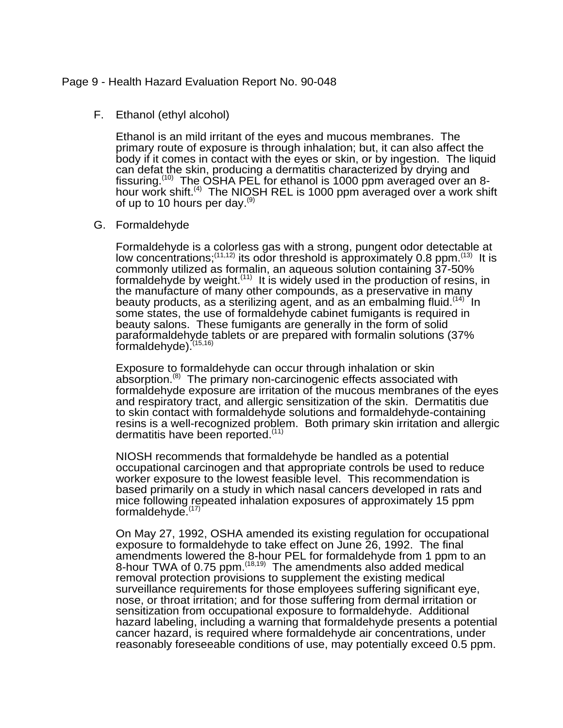#### Page 9 - Health Hazard Evaluation Report No. 90-048

#### F. Ethanol (ethyl alcohol)

Ethanol is an mild irritant of the eyes and mucous membranes. The primary route of exposure is through inhalation; but, it can also affect the body if it comes in contact with the eyes or skin, or by ingestion. The liquid can defat the skin, producing a dermatitis characterized by drying and fissuring.<sup>(10)</sup> The OSHA PEL for ethanol is 1000 ppm averaged over an 8hour work shift.(4) The NIOSH REL is 1000 ppm averaged over a work shift of up to 10 hours per day. $^{(9)}$ 

#### G. Formaldehyde

Formaldehyde is a colorless gas with a strong, pungent odor detectable at low concentrations;<sup>(11,12)</sup> its odor threshold is approximately 0.8 ppm.<sup>(13)</sup> It is commonly utilized as formalin, an aqueous solution containing 37-50% formaldehyde by weight.<sup> $(11)$ </sup> It is widely used in the production of resins, in the manufacture of many other compounds, as a preservative in many beauty products, as a sterilizing agent, and as an embalming fluid.  $(14)$  In some states, the use of formaldehyde cabinet fumigants is required in beauty salons. These fumigants are generally in the form of solid paraformaldehyde tablets or are prepared with formalin solutions (37% formaldehyde).<sup>(15,16)</sup>

Exposure to formaldehyde can occur through inhalation or skin absorption.<sup>(8)</sup> The primary non-carcinogenic effects associated with formaldehyde exposure are irritation of the mucous membranes of the eyes and respiratory tract, and allergic sensitization of the skin. Dermatitis due to skin contact with formaldehyde solutions and formaldehyde-containing resins is a well-recognized problem. Both primary skin irritation and allergic dermatitis have been reported.<sup>(11)</sup>

NIOSH recommends that formaldehyde be handled as a potential occupational carcinogen and that appropriate controls be used to reduce worker exposure to the lowest feasible level. This recommendation is based primarily on a study in which nasal cancers developed in rats and mice following repeated inhalation exposures of approximately 15 ppm formaldehyde.<sup>(17)</sup>

On May 27, 1992, OSHA amended its existing regulation for occupational exposure to formaldehyde to take effect on June 26, 1992. The final amendments lowered the 8-hour PEL for formaldehyde from 1 ppm to an 8-hour TWA of 0.75 ppm.<sup>(18,19)</sup> The amendments also added medical removal protection provisions to supplement the existing medical surveillance requirements for those employees suffering significant eye, nose, or throat irritation; and for those suffering from dermal irritation or sensitization from occupational exposure to formaldehyde. Additional hazard labeling, including a warning that formaldehyde presents a potential cancer hazard, is required where formaldehyde air concentrations, under reasonably foreseeable conditions of use, may potentially exceed 0.5 ppm.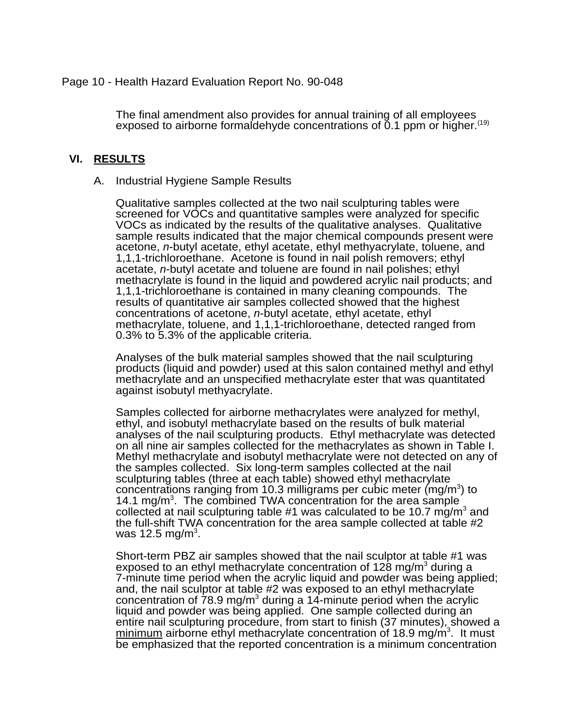## Page 10 - Health Hazard Evaluation Report No. 90-048

The final amendment also provides for annual training of all employees exposed to airborne formaldehyde concentrations of 0.1 ppm or higher.(19)

#### **VI. RESULTS**

#### A. Industrial Hygiene Sample Results

Qualitative samples collected at the two nail sculpturing tables were screened for VOCs and quantitative samples were analyzed for specific VOCs as indicated by the results of the qualitative analyses. Qualitative sample results indicated that the major chemical compounds present were acetone, *n*-butyl acetate, ethyl acetate, ethyl methyacrylate, toluene, and 1,1,1-trichloroethane. Acetone is found in nail polish removers; ethyl acetate, *n*-butyl acetate and toluene are found in nail polishes; ethyl methacrylate is found in the liquid and powdered acrylic nail products; and 1,1,1-trichloroethane is contained in many cleaning compounds. The results of quantitative air samples collected showed that the highest concentrations of acetone, *n*-butyl acetate, ethyl acetate, ethyl methacrylate, toluene, and 1,1,1-trichloroethane, detected ranged from 0.3% to 5.3% of the applicable criteria.

Analyses of the bulk material samples showed that the nail sculpturing products (liquid and powder) used at this salon contained methyl and ethyl methacrylate and an unspecified methacrylate ester that was quantitated against isobutyl methyacrylate.

Samples collected for airborne methacrylates were analyzed for methyl, ethyl, and isobutyl methacrylate based on the results of bulk material analyses of the nail sculpturing products. Ethyl methacrylate was detected on all nine air samples collected for the methacrylates as shown in Table I. Methyl methacrylate and isobutyl methacrylate were not detected on any of the samples collected. Six long-term samples collected at the nail sculpturing tables (three at each table) showed ethyl methacrylate concentrations ranging from 10.3 milligrams per cubic meter (mg/m<sup>3</sup>) to 14.1 mg/m<sup>3</sup>. The combined TWA concentration for the area sample collected at nail sculpturing table #1 was calculated to be 10.7 mg/m<sup>3</sup> and the full-shift TWA concentration for the area sample collected at table #2 was 12.5 mg/m $^3$ .

Short-term PBZ air samples showed that the nail sculptor at table #1 was exposed to an ethyl methacrylate concentration of 128 mg/m<sup>3</sup> during a 7-minute time period when the acrylic liquid and powder was being applied; and, the nail sculptor at table #2 was exposed to an ethyl methacrylate concentration of  $78.9$  mg/m<sup>3</sup> during a 14-minute period when the acrylic liquid and powder was being applied. One sample collected during an entire nail sculpturing procedure, from start to finish (37 minutes), showed a minimum airborne ethyl methacrylate concentration of 18.9 mg/m<sup>3</sup>. It must be emphasized that the reported concentration is a minimum concentration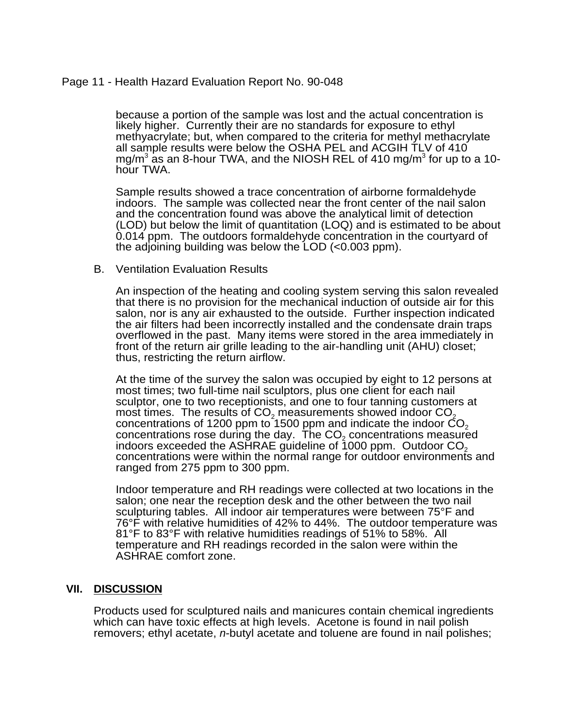## Page 11 - Health Hazard Evaluation Report No. 90-048

because a portion of the sample was lost and the actual concentration is likely higher. Currently their are no standards for exposure to ethyl methyacrylate; but, when compared to the criteria for methyl methacrylate all sample results were below the OSHA PEL and ACGIH TLV of 410 mg/m $^3$  as an 8-hour TWA, and the NIOSH REL of 410 mg/m $^3$  for up to a 10hour TWA.

Sample results showed a trace concentration of airborne formaldehyde indoors. The sample was collected near the front center of the nail salon and the concentration found was above the analytical limit of detection (LOD) but below the limit of quantitation (LOQ) and is estimated to be about 0.014 ppm. The outdoors formaldehyde concentration in the courtyard of the adjoining building was below the LOD (<0.003 ppm).

#### B. Ventilation Evaluation Results

An inspection of the heating and cooling system serving this salon revealed that there is no provision for the mechanical induction of outside air for this salon, nor is any air exhausted to the outside. Further inspection indicated the air filters had been incorrectly installed and the condensate drain traps overflowed in the past. Many items were stored in the area immediately in front of the return air grille leading to the air-handling unit (AHU) closet; thus, restricting the return airflow.

At the time of the survey the salon was occupied by eight to 12 persons at most times; two full-time nail sculptors, plus one client for each nail sculptor, one to two receptionists, and one to four tanning customers at most times. The results of  $CO<sub>2</sub>$  measurements showed indoor  $CO<sub>2</sub>$ concentrations of 1200 ppm to 1500 ppm and indicate the indoor  $CO<sub>2</sub>$ concentrations rose during the day. The  $CO<sub>2</sub>$  concentrations measured indoors exceeded the ASHRAE guideline of 1000 ppm. Outdoor CO<sub>2</sub> concentrations were within the normal range for outdoor environments and ranged from 275 ppm to 300 ppm.

Indoor temperature and RH readings were collected at two locations in the salon; one near the reception desk and the other between the two nail sculpturing tables. All indoor air temperatures were between 75°F and 76°F with relative humidities of 42% to 44%. The outdoor temperature was 81°F to 83°F with relative humidities readings of 51% to 58%. All temperature and RH readings recorded in the salon were within the ASHRAE comfort zone.

## **VII. DISCUSSION**

Products used for sculptured nails and manicures contain chemical ingredients which can have toxic effects at high levels. Acetone is found in nail polish removers; ethyl acetate, *n*-butyl acetate and toluene are found in nail polishes;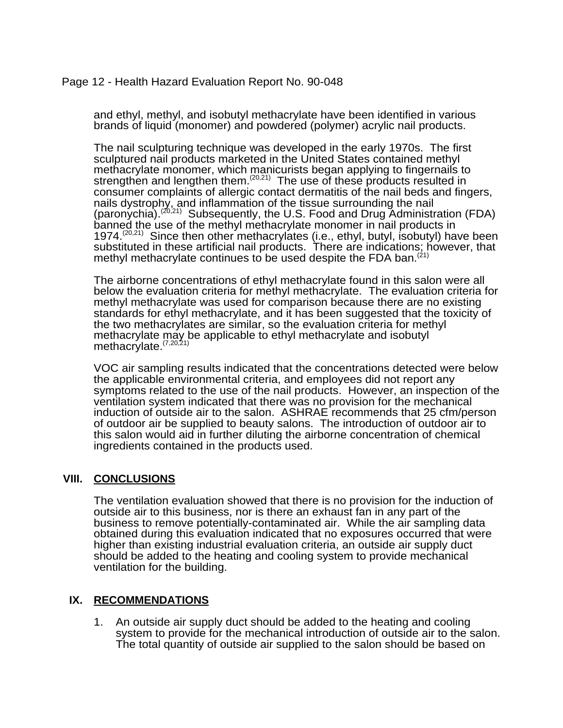## Page 12 - Health Hazard Evaluation Report No. 90-048

and ethyl, methyl, and isobutyl methacrylate have been identified in various brands of liquid (monomer) and powdered (polymer) acrylic nail products.

The nail sculpturing technique was developed in the early 1970s. The first sculptured nail products marketed in the United States contained methyl methacrylate monomer, which manicurists began applying to fingernails to strengthen and lengthen them.<sup>(20,21)</sup> The use of these products resulted in consumer complaints of allergic contact dermatitis of the nail beds and fingers, nails dystrophy, and inflammation of the tissue surrounding the nail (paronychia).<sup>(20,21)</sup> Subsequently, the U.S. Food and Drug Administration (FDA) banned the use of the methyl methacrylate monomer in nail products in 1974.<sup>(20,21)</sup> Since then other methacrylates (i.e., ethyl, butyl, isobutyl) have been substituted in these artificial nail products. There are indications; however, that methyl methacrylate continues to be used despite the FDA ban.<sup>(21)</sup>

The airborne concentrations of ethyl methacrylate found in this salon were all below the evaluation criteria for methyl methacrylate. The evaluation criteria for methyl methacrylate was used for comparison because there are no existing standards for ethyl methacrylate, and it has been suggested that the toxicity of the two methacrylates are similar, so the evaluation criteria for methyl methacrylate may be applicable to ethyl methacrylate and isobutyl methacrylate.<sup>(7,20,21)</sup>

VOC air sampling results indicated that the concentrations detected were below the applicable environmental criteria, and employees did not report any symptoms related to the use of the nail products. However, an inspection of the ventilation system indicated that there was no provision for the mechanical induction of outside air to the salon. ASHRAE recommends that 25 cfm/person of outdoor air be supplied to beauty salons. The introduction of outdoor air to this salon would aid in further diluting the airborne concentration of chemical ingredients contained in the products used.

## **VIII. CONCLUSIONS**

The ventilation evaluation showed that there is no provision for the induction of outside air to this business, nor is there an exhaust fan in any part of the business to remove potentially-contaminated air. While the air sampling data obtained during this evaluation indicated that no exposures occurred that were higher than existing industrial evaluation criteria, an outside air supply duct should be added to the heating and cooling system to provide mechanical ventilation for the building.

## **IX. RECOMMENDATIONS**

1. An outside air supply duct should be added to the heating and cooling system to provide for the mechanical introduction of outside air to the salon. The total quantity of outside air supplied to the salon should be based on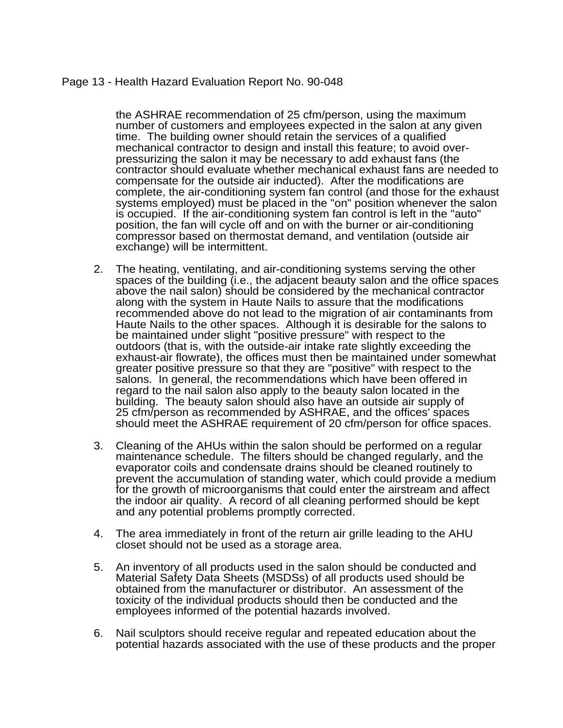## Page 13 - Health Hazard Evaluation Report No. 90-048

the ASHRAE recommendation of 25 cfm/person, using the maximum number of customers and employees expected in the salon at any given time. The building owner should retain the services of a qualified mechanical contractor to design and install this feature; to avoid overpressurizing the salon it may be necessary to add exhaust fans (the contractor should evaluate whether mechanical exhaust fans are needed to compensate for the outside air inducted). After the modifications are complete, the air-conditioning system fan control (and those for the exhaust systems employed) must be placed in the "on" position whenever the salon is occupied. If the air-conditioning system fan control is left in the "auto" position, the fan will cycle off and on with the burner or air-conditioning compressor based on thermostat demand, and ventilation (outside air exchange) will be intermittent.

- 2. The heating, ventilating, and air-conditioning systems serving the other spaces of the building (i.e., the adjacent beauty salon and the office spaces above the nail salon) should be considered by the mechanical contractor along with the system in Haute Nails to assure that the modifications recommended above do not lead to the migration of air contaminants from Haute Nails to the other spaces. Although it is desirable for the salons to be maintained under slight "positive pressure" with respect to the outdoors (that is, with the outside-air intake rate slightly exceeding the exhaust-air flowrate), the offices must then be maintained under somewhat greater positive pressure so that they are "positive" with respect to the salons. In general, the recommendations which have been offered in regard to the nail salon also apply to the beauty salon located in the building. The beauty salon should also have an outside air supply of 25 cfm/person as recommended by ASHRAE, and the offices' spaces should meet the ASHRAE requirement of 20 cfm/person for office spaces.
- 3. Cleaning of the AHUs within the salon should be performed on a regular maintenance schedule. The filters should be changed regularly, and the evaporator coils and condensate drains should be cleaned routinely to prevent the accumulation of standing water, which could provide a medium for the growth of microorganisms that could enter the airstream and affect the indoor air quality. A record of all cleaning performed should be kept and any potential problems promptly corrected.
- 4. The area immediately in front of the return air grille leading to the AHU closet should not be used as a storage area.
- 5. An inventory of all products used in the salon should be conducted and Material Safety Data Sheets (MSDSs) of all products used should be obtained from the manufacturer or distributor. An assessment of the toxicity of the individual products should then be conducted and the employees informed of the potential hazards involved.
- 6. Nail sculptors should receive regular and repeated education about the potential hazards associated with the use of these products and the proper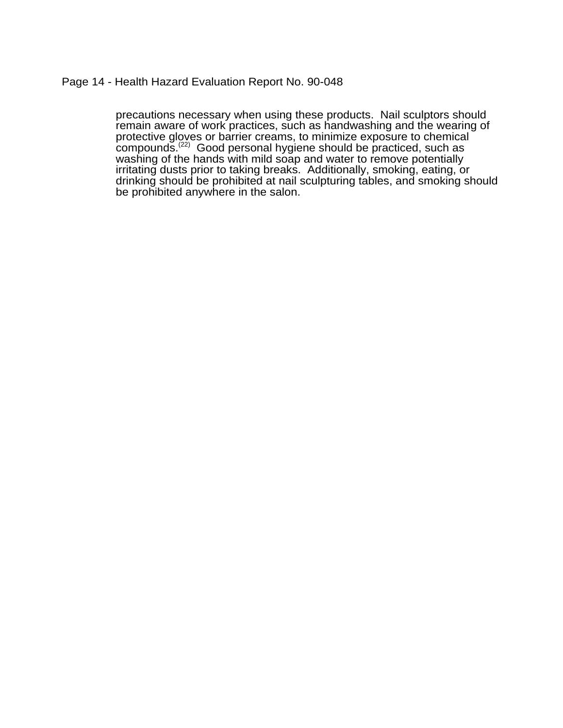### Page 14 - Health Hazard Evaluation Report No. 90-048

precautions necessary when using these products. Nail sculptors should remain aware of work practices, such as handwashing and the wearing of protective gloves or barrier creams, to minimize exposure to chemical compounds.<sup>(22)</sup> Good personal hygiene should be practiced, such as washing of the hands with mild soap and water to remove potentially irritating dusts prior to taking breaks. Additionally, smoking, eating, or drinking should be prohibited at nail sculpturing tables, and smoking should be prohibited anywhere in the salon.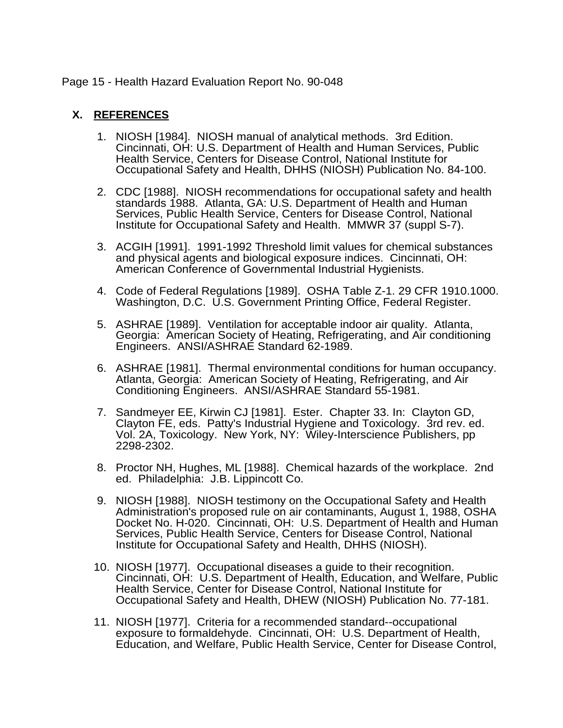## Page 15 - Health Hazard Evaluation Report No. 90-048

## **X. REFERENCES**

- 1. NIOSH [1984]. NIOSH manual of analytical methods. 3rd Edition. Cincinnati, OH: U.S. Department of Health and Human Services, Public Health Service, Centers for Disease Control, National Institute for Occupational Safety and Health, DHHS (NIOSH) Publication No. 84-100.
- 2. CDC [1988]. NIOSH recommendations for occupational safety and health standards 1988. Atlanta, GA: U.S. Department of Health and Human Services, Public Health Service, Centers for Disease Control, National Institute for Occupational Safety and Health. MMWR 37 (suppl S-7).
- 3. ACGIH [1991]. 1991-1992 Threshold limit values for chemical substances and physical agents and biological exposure indices. Cincinnati, OH: American Conference of Governmental Industrial Hygienists.
- 4. Code of Federal Regulations [1989]. OSHA Table Z-1. 29 CFR 1910.1000. Washington, D.C. U.S. Government Printing Office, Federal Register.
- 5. ASHRAE [1989]. Ventilation for acceptable indoor air quality. Atlanta, Georgia: American Society of Heating, Refrigerating, and Air conditioning Engineers. ANSI/ASHRAE Standard 62-1989.
- 6. ASHRAE [1981]. Thermal environmental conditions for human occupancy. Atlanta, Georgia: American Society of Heating, Refrigerating, and Air Conditioning Engineers. ANSI/ASHRAE Standard 55-1981.
- 7. Sandmeyer EE, Kirwin CJ [1981]. Ester. Chapter 33. In: Clayton GD, Clayton FE, eds. Patty's Industrial Hygiene and Toxicology. 3rd rev. ed. Vol. 2A, Toxicology. New York, NY: Wiley-Interscience Publishers, pp 2298-2302.
- 8. Proctor NH, Hughes, ML [1988]. Chemical hazards of the workplace. 2nd ed. Philadelphia: J.B. Lippincott Co.
- 9. NIOSH [1988]. NIOSH testimony on the Occupational Safety and Health Administration's proposed rule on air contaminants, August 1, 1988, OSHA Docket No. H-020. Cincinnati, OH: U.S. Department of Health and Human Services, Public Health Service, Centers for Disease Control, National Institute for Occupational Safety and Health, DHHS (NIOSH).
- 10. NIOSH [1977]. Occupational diseases a guide to their recognition. Cincinnati, OH: U.S. Department of Health, Education, and Welfare, Public Health Service, Center for Disease Control, National Institute for Occupational Safety and Health, DHEW (NIOSH) Publication No. 77-181.
- 11. NIOSH [1977]. Criteria for a recommended standard--occupational exposure to formaldehyde. Cincinnati, OH: U.S. Department of Health, Education, and Welfare, Public Health Service, Center for Disease Control,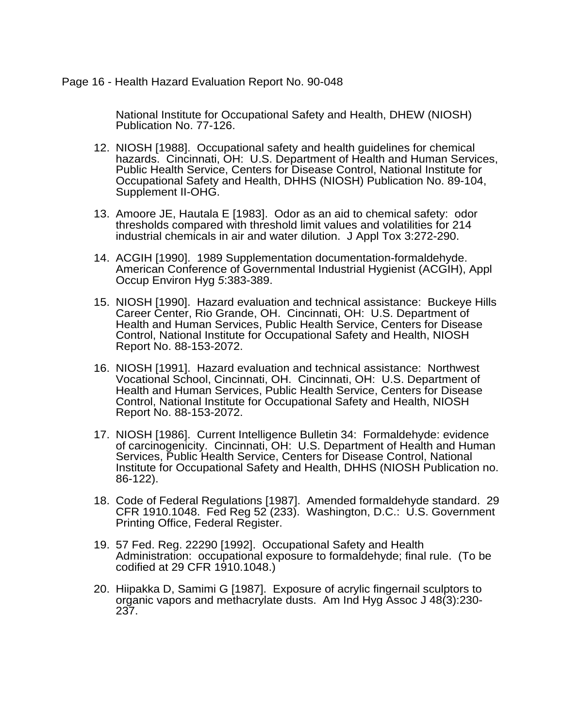#### Page 16 - Health Hazard Evaluation Report No. 90-048

National Institute for Occupational Safety and Health, DHEW (NIOSH) Publication No. 77-126.

- 12. NIOSH [1988]. Occupational safety and health guidelines for chemical hazards. Cincinnati, OH: U.S. Department of Health and Human Services, Public Health Service, Centers for Disease Control, National Institute for Occupational Safety and Health, DHHS (NIOSH) Publication No. 89-104, Supplement II-OHG.
- 13. Amoore JE, Hautala E [1983]. Odor as an aid to chemical safety: odor thresholds compared with threshold limit values and volatilities for 214 industrial chemicals in air and water dilution. J Appl Tox 3:272-290.
- 14. ACGIH [1990]. 1989 Supplementation documentation-formaldehyde. American Conference of Governmental Industrial Hygienist (ACGIH), Appl Occup Environ Hyg *5*:383-389.
- 15. NIOSH [1990]. Hazard evaluation and technical assistance: Buckeye Hills Career Center, Rio Grande, OH. Cincinnati, OH: U.S. Department of Health and Human Services, Public Health Service, Centers for Disease Control, National Institute for Occupational Safety and Health, NIOSH Report No. 88-153-2072.
- 16. NIOSH [1991]. Hazard evaluation and technical assistance: Northwest Vocational School, Cincinnati, OH. Cincinnati, OH: U.S. Department of Health and Human Services, Public Health Service, Centers for Disease Control, National Institute for Occupational Safety and Health, NIOSH Report No. 88-153-2072.
- 17. NIOSH [1986]. Current Intelligence Bulletin 34: Formaldehyde: evidence of carcinogenicity. Cincinnati, OH: U.S. Department of Health and Human Services, Public Health Service, Centers for Disease Control, National Institute for Occupational Safety and Health, DHHS (NIOSH Publication no. 86-122).
- 18. Code of Federal Regulations [1987]. Amended formaldehyde standard. 29 CFR 1910.1048. Fed Reg 52 (233). Washington, D.C.: U.S. Government Printing Office, Federal Register.
- 19. 57 Fed. Reg. 22290 [1992]. Occupational Safety and Health Administration: occupational exposure to formaldehyde; final rule. (To be codified at 29 CFR 1910.1048.)
- 20. Hiipakka D, Samimi G [1987]. Exposure of acrylic fingernail sculptors to organic vapors and methacrylate dusts. Am Ind Hyg Assoc J 48(3):230- 237.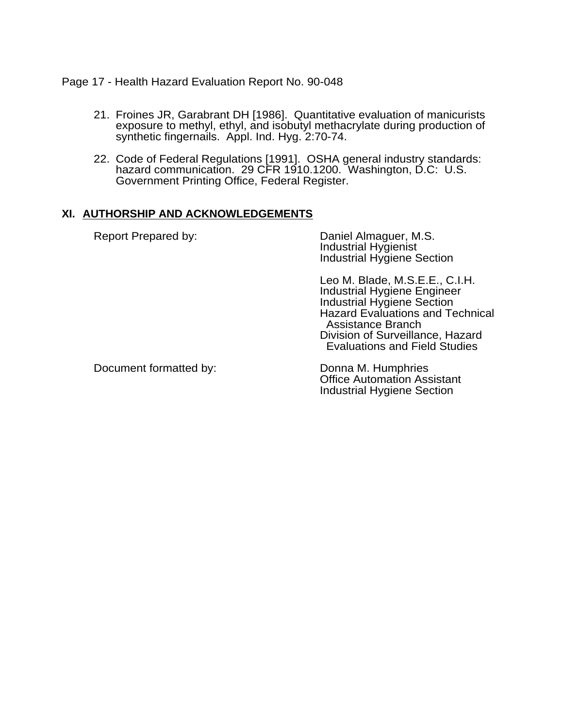Page 17 - Health Hazard Evaluation Report No. 90-048

- 21. Froines JR, Garabrant DH [1986]. Quantitative evaluation of manicurists exposure to methyl, ethyl, and isobutyl methacrylate during production of synthetic fingernails. Appl. Ind. Hyg. 2:70-74.
- 22. Code of Federal Regulations [1991]. OSHA general industry standards: hazard communication. 29 CFR 1910.1200. Washington, D.C: U.S. Government Printing Office, Federal Register.

## **XI. AUTHORSHIP AND ACKNOWLEDGEMENTS**

| Report Prepared by:    | Daniel Almaguer, M.S.<br><b>Industrial Hygienist</b><br><b>Industrial Hygiene Section</b>                                                                                                                                                                    |  |
|------------------------|--------------------------------------------------------------------------------------------------------------------------------------------------------------------------------------------------------------------------------------------------------------|--|
|                        | Leo M. Blade, M.S.E.E., C.I.H.<br><b>Industrial Hygiene Engineer</b><br><b>Industrial Hygiene Section</b><br><b>Hazard Evaluations and Technical</b><br><b>Assistance Branch</b><br>Division of Surveillance, Hazard<br><b>Evaluations and Field Studies</b> |  |
| Document formatted by: | Donna M. Humphries<br><b>Office Automation Assistant</b><br><b>Industrial Hygiene Section</b>                                                                                                                                                                |  |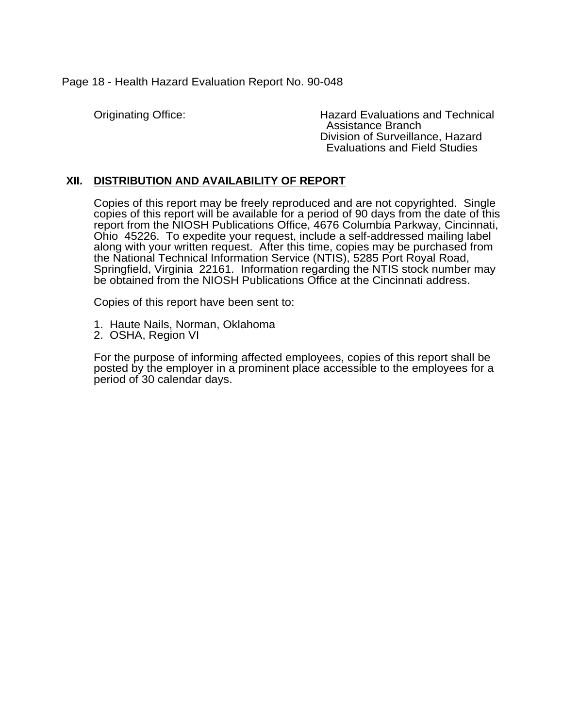Page 18 - Health Hazard Evaluation Report No. 90-048

Originating Office: Hazard Evaluations and Technical Assistance Branch Division of Surveillance, Hazard Evaluations and Field Studies

## **XII. DISTRIBUTION AND AVAILABILITY OF REPORT**

Copies of this report may be freely reproduced and are not copyrighted. Single copies of this report will be available for a period of 90 days from the date of this report from the NIOSH Publications Office, 4676 Columbia Parkway, Cincinnati, Ohio 45226. To expedite your request, include a self-addressed mailing label along with your written request. After this time, copies may be purchased from the National Technical Information Service (NTIS), 5285 Port Royal Road, Springfield, Virginia 22161. Information regarding the NTIS stock number may be obtained from the NIOSH Publications Office at the Cincinnati address.

Copies of this report have been sent to:

- 1. Haute Nails, Norman, Oklahoma
- 2. OSHA, Region VI

For the purpose of informing affected employees, copies of this report shall be posted by the employer in a prominent place accessible to the employees for a period of 30 calendar days.